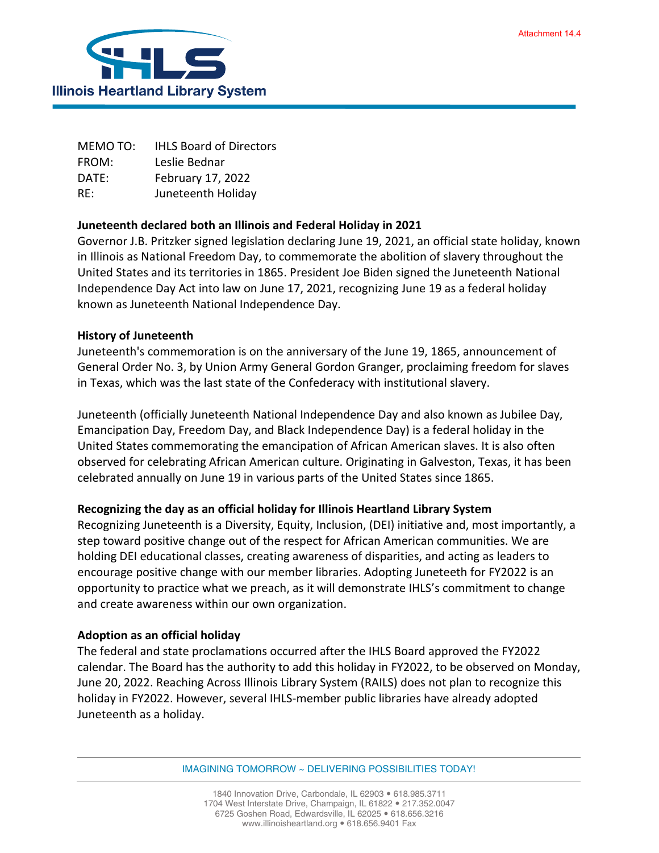

MEMO TO: IHLS Board of Directors FROM: Leslie Bednar DATE: February 17, 2022 RE: Juneteenth Holiday

## **Juneteenth declared both an Illinois and Federal Holiday in 2021**

Governor J.B. Pritzker signed legislation declaring June 19, 2021, an official state holiday, known in Illinois as National Freedom Day, to commemorate the abolition of slavery throughout the United States and its territories in 1865. President Joe Biden signed the Juneteenth National Independence Day Act into law on June 17, 2021, recognizing June 19 as a federal holiday known as Juneteenth National Independence Day.

## **History of Juneteenth**

Juneteenth's commemoration is on the anniversary of the June 19, 1865, announcement of General Order No. 3, by Union Army General Gordon Granger, proclaiming freedom for slaves in Texas, which was the last state of the Confederacy with institutional slavery.

Juneteenth (officially Juneteenth National Independence Day and also known as Jubilee Day, Emancipation Day, Freedom Day, and Black Independence Day) is a federal holiday in the United States commemorating the emancipation of African American slaves. It is also often observed for celebrating African American culture. Originating in Galveston, Texas, it has been celebrated annually on June 19 in various parts of the United States since 1865.

## **Recognizing the day as an official holiday for Illinois Heartland Library System**

Recognizing Juneteenth is a Diversity, Equity, Inclusion, (DEI) initiative and, most importantly, a step toward positive change out of the respect for African American communities. We are holding DEI educational classes, creating awareness of disparities, and acting as leaders to encourage positive change with our member libraries. Adopting Juneteeth for FY2022 is an opportunity to practice what we preach, as it will demonstrate IHLS's commitment to change and create awareness within our own organization.

## **Adoption as an official holiday**

The federal and state proclamations occurred after the IHLS Board approved the FY2022 calendar. The Board has the authority to add this holiday in FY2022, to be observed on Monday, June 20, 2022. Reaching Across Illinois Library System (RAILS) does not plan to recognize this holiday in FY2022. However, several IHLS-member public libraries have already adopted Juneteenth as a holiday.